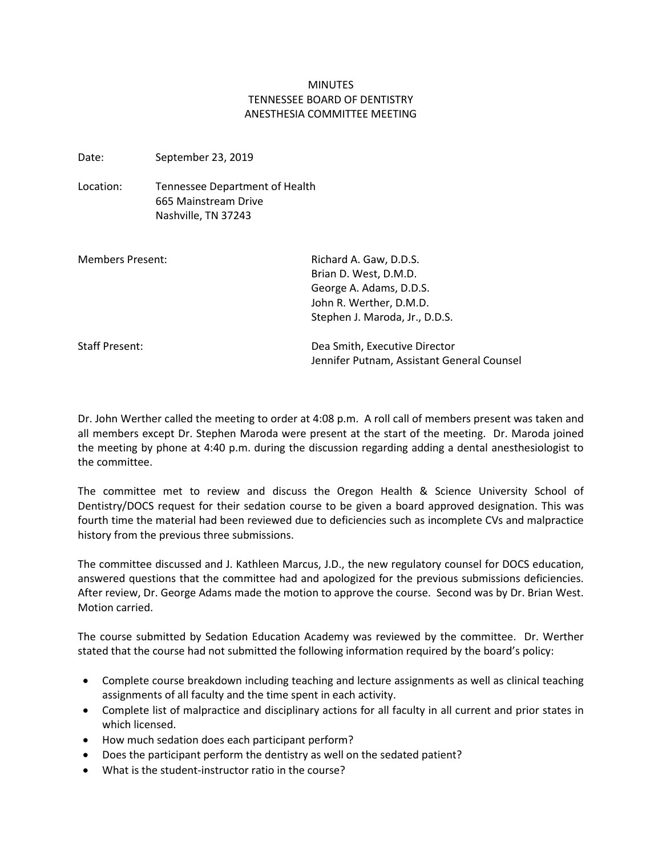## **MINUTES** TENNESSEE BOARD OF DENTISTRY ANESTHESIA COMMITTEE MEETING

Date: September 23, 2019

Location: Tennessee Department of Health 665 Mainstream Drive Nashville, TN 37243

| Members Present: | Richard A. Gaw, D.D.S.                                                      |
|------------------|-----------------------------------------------------------------------------|
|                  | Brian D. West, D.M.D.                                                       |
|                  | George A. Adams, D.D.S.                                                     |
|                  | John R. Werther, D.M.D.                                                     |
|                  | Stephen J. Maroda, Jr., D.D.S.                                              |
| Staff Present:   | Dea Smith, Executive Director<br>Jennifer Putnam, Assistant General Counsel |

Dr. John Werther called the meeting to order at 4:08 p.m. A roll call of members present was taken and all members except Dr. Stephen Maroda were present at the start of the meeting. Dr. Maroda joined the meeting by phone at 4:40 p.m. during the discussion regarding adding a dental anesthesiologist to the committee.

The committee met to review and discuss the Oregon Health & Science University School of Dentistry/DOCS request for their sedation course to be given a board approved designation. This was fourth time the material had been reviewed due to deficiencies such as incomplete CVs and malpractice history from the previous three submissions.

The committee discussed and J. Kathleen Marcus, J.D., the new regulatory counsel for DOCS education, answered questions that the committee had and apologized for the previous submissions deficiencies. After review, Dr. George Adams made the motion to approve the course. Second was by Dr. Brian West. Motion carried.

The course submitted by Sedation Education Academy was reviewed by the committee. Dr. Werther stated that the course had not submitted the following information required by the board's policy:

- Complete course breakdown including teaching and lecture assignments as well as clinical teaching assignments of all faculty and the time spent in each activity.
- Complete list of malpractice and disciplinary actions for all faculty in all current and prior states in which licensed.
- How much sedation does each participant perform?
- Does the participant perform the dentistry as well on the sedated patient?
- What is the student-instructor ratio in the course?